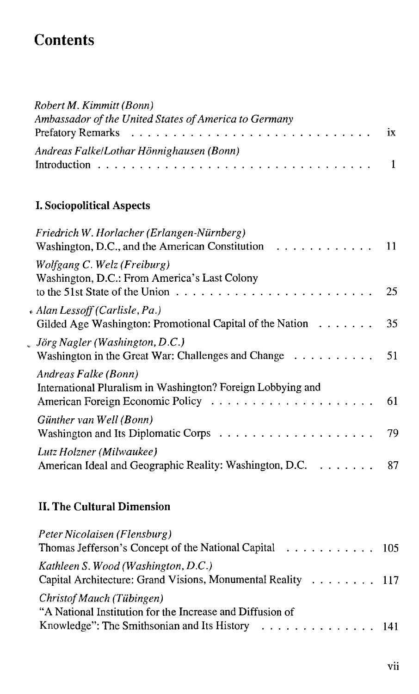## **Contents**

| Robert M. Kimmitt (Bonn)                              |  |
|-------------------------------------------------------|--|
| Ambassador of the United States of America to Germany |  |
|                                                       |  |
| Andreas Falke/Lothar Hönnighausen (Bonn)              |  |
|                                                       |  |

## **I. Sociopolitical Aspects**

| Friedrich W. Horlacher (Erlangen-Nürnberg)<br>Washington, D.C., and the American Constitution $\ldots \ldots \ldots \ldots$ 11                                          |    |
|-------------------------------------------------------------------------------------------------------------------------------------------------------------------------|----|
| Wolfgang C. Welz (Freiburg)<br>Washington, D.C.: From America's Last Colony<br>to the 51st State of the Union $\ldots \ldots \ldots \ldots \ldots \ldots \ldots \ldots$ | 25 |
| • Alan Lessoff (Carlisle, Pa.)<br>Gilded Age Washington: Promotional Capital of the Nation                                                                              | 35 |
| . Jörg Nagler (Washington, D.C.)<br>Washington in the Great War: Challenges and Change $\dots \dots \dots$                                                              | 51 |
| Andreas Falke (Bonn)<br>International Pluralism in Washington? Foreign Lobbying and                                                                                     | 61 |
| Günther van Well (Bonn)<br>Washington and Its Diplomatic Corps $\ldots \ldots \ldots \ldots \ldots \ldots$ 79                                                           |    |
| Lutz Holzner (Milwaukee)<br>American Ideal and Geographic Reality: Washington, D.C.                                                                                     | 87 |
|                                                                                                                                                                         |    |

## **II. The Cultural Dimension**

| Peter Nicolaisen (Flensburg)                                                                       |  |
|----------------------------------------------------------------------------------------------------|--|
| Thomas Jefferson's Concept of the National Capital 105                                             |  |
| Kathleen S. Wood (Washington, D.C.)<br>Capital Architecture: Grand Visions, Monumental Reality 117 |  |
| Christof Mauch (Tübingen)<br>"A National Institution for the Increase and Diffusion of             |  |
| Knowledge": The Smithsonian and Its History 141                                                    |  |